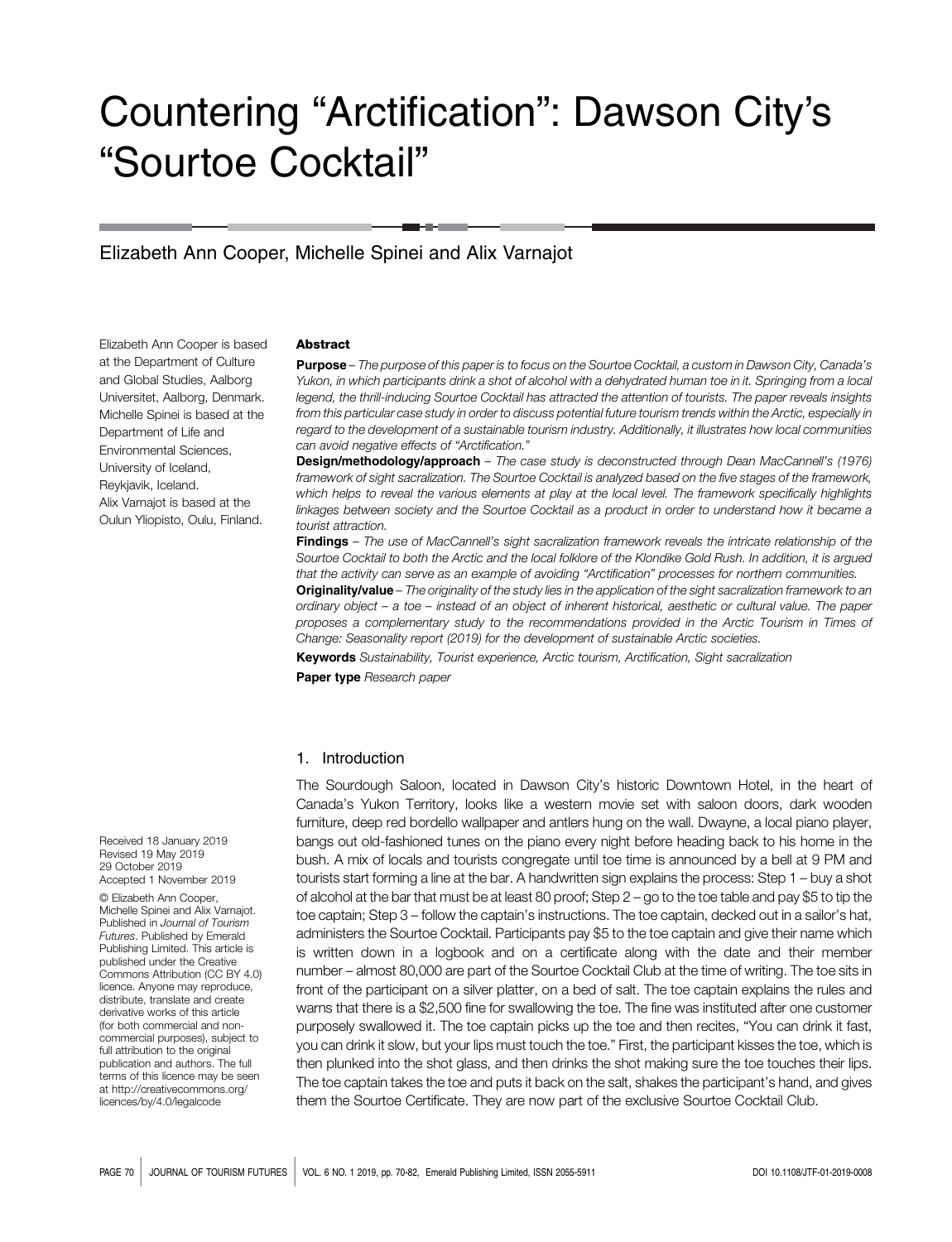# Countering "Arctification": Dawson City's "Sourtoe Cocktail"

# Elizabeth Ann Cooper, Michelle Spinei and Alix Varnajot

Elizabeth Ann Cooper is based at the Department of Culture and Global Studies, Aalborg Universitet, Aalborg, Denmark. Michelle Spinei is based at the Department of Life and Environmental Sciences, University of Iceland, Reykjavik, Iceland. Alix Varnajot is based at the Oulun Yliopisto, Oulu, Finland.

#### **Abstract**

Purpose – The purpose of this paper is to focus on the Sourtoe Cocktail, a custom in Dawson City, Canada's Yukon, in which participants drink a shot of alcohol with a dehydrated human toe in it. Springing from a local legend, the thrill-inducing Sourtoe Cocktail has attracted the attention of tourists. The paper reveals insights from this particular case study in order to discuss potential future tourism trends within the Arctic, especially in regard to the development of a sustainable tourism industry. Additionally, it illustrates how local communities can avoid negative effects of "Arctification."

Design/methodology/approach - The case study is deconstructed through Dean MacCannell's (1976) framework of sight sacralization. The Sourtoe Cocktail is analyzed based on the five stages of the framework, which helps to reveal the various elements at play at the local level. The framework specifically highlights linkages between society and the Sourtoe Cocktail as a product in order to understand how it became a tourist attraction.

Findings - The use of MacCannell's sight sacralization framework reveals the intricate relationship of the Sourtoe Cocktail to both the Arctic and the local folklore of the Klondike Gold Rush. In addition, it is argued that the activity can serve as an example of avoiding "Arctification" processes for northern communities.

Originality/value - The originality of the study lies in the application of the sight sacralization framework to an ordinary object – a toe – instead of an object of inherent historical, aesthetic or cultural value. The paper proposes a complementary study to the recommendations provided in the Arctic Tourism in Times of Change: Seasonality report (2019) for the development of sustainable Arctic societies.

Keywords Sustainability, Tourist experience, Arctic tourism, Arctification, Sight sacralization

Paper type Research paper

## 1. Introduction

The Sourdough Saloon, located in Dawson City's historic Downtown Hotel, in the heart of Canada's Yukon Territory, looks like a western movie set with saloon doors, dark wooden furniture, deep red bordello wallpaper and antlers hung on the wall. Dwayne, a local piano player, bangs out old-fashioned tunes on the piano every night before heading back to his home in the bush. A mix of locals and tourists congregate until toe time is announced by a bell at 9 PM and tourists start forming a line at the bar. A handwritten sign explains the process: Step 1 – buy a shot of alcohol at the bar that must be at least 80 proof; Step 2 – go to the toe table and pay \$5 to tip the toe captain; Step 3 – follow the captain's instructions. The toe captain, decked out in a sailor's hat, administers the Sourtoe Cocktail. Participants pay \$5 to the toe captain and give their name which is written down in a logbook and on a certificate along with the date and their member number – almost 80,000 are part of the Sourtoe Cocktail Club at the time of writing. The toe sits in front of the participant on a silver platter, on a bed of salt. The toe captain explains the rules and warns that there is a \$2,500 fine for swallowing the toe. The fine was instituted after one customer purposely swallowed it. The toe captain picks up the toe and then recites, "You can drink it fast, you can drink it slow, but your lips must touch the toe." First, the participant kisses the toe, which is then plunked into the shot glass, and then drinks the shot making sure the toe touches their lips. The toe captain takes the toe and puts it back on the salt, shakes the participant's hand, and gives them the Sourtoe Certificate. They are now part of the exclusive Sourtoe Cocktail Club.

Received 18 January 2019 Revised 19 May 2019 29 October 2019 Accepted 1 November 2019

© Elizabeth Ann Cooper, Michelle Spinei and Alix Varnajot. Published in Journal of Tourism Futures. Published by Emerald Publishing Limited. This article is published under the Creative Commons Attribution (CC BY 4.0) licence. Anyone may reproduce, distribute, translate and create derivative works of this article (for both commercial and noncommercial purposes), subject to full attribution to the original publication and authors. The full terms of this licence may be seen at [http://creativecommons.org/](http://creativecommons.org/licences/by/4.0/legalcode) [licences/by/4.0/legalcode](http://creativecommons.org/licences/by/4.0/legalcode)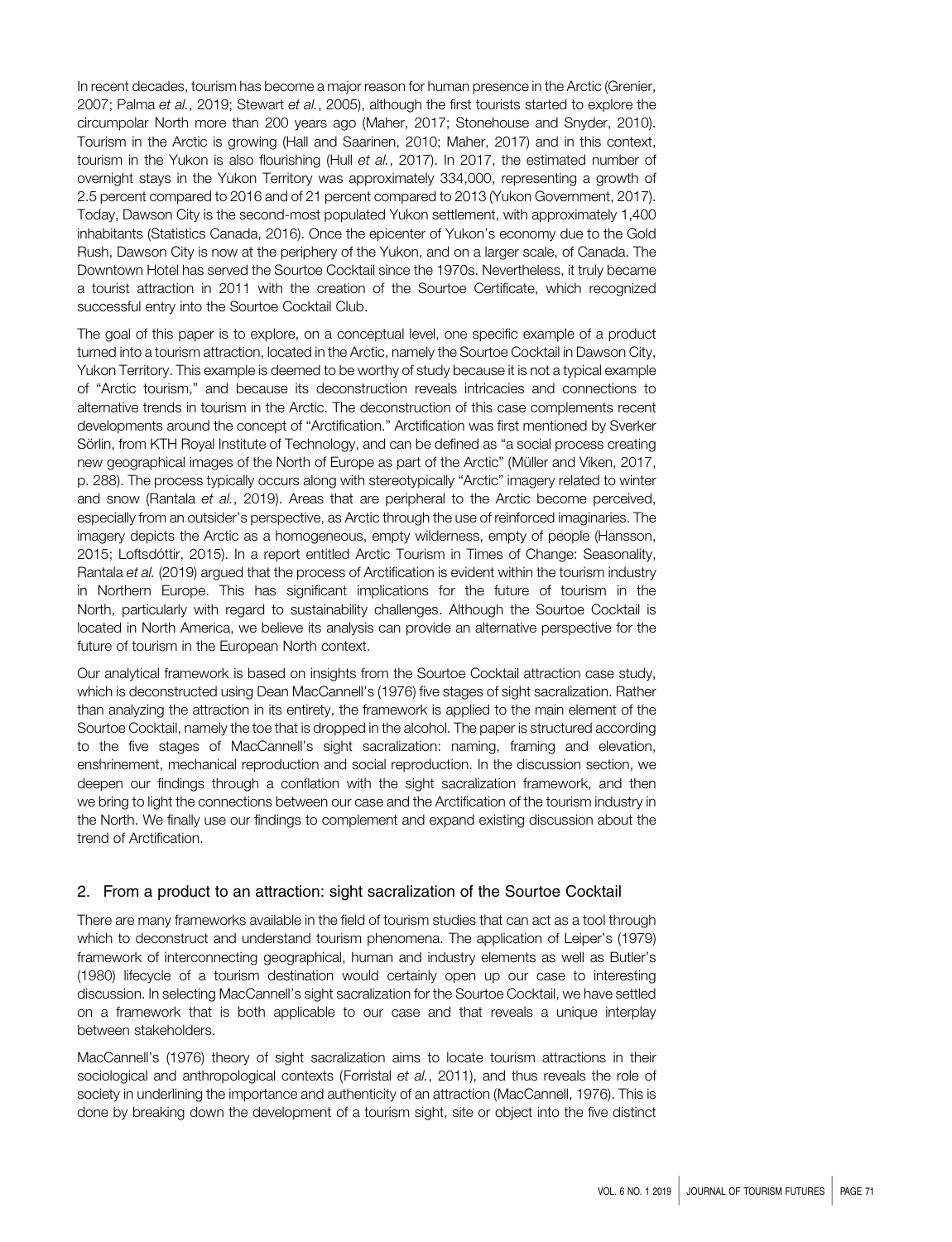In recent decades, tourism has become a major reason for human presence in the Arctic (Grenier, 2007; Palma et al., 2019; Stewart et al., 2005), although the first tourists started to explore the circumpolar North more than 200 years ago (Maher, 2017; Stonehouse and Snyder, 2010). Tourism in the Arctic is growing (Hall and Saarinen, 2010; Maher, 2017) and in this context, tourism in the Yukon is also flourishing (Hull et al., 2017). In 2017, the estimated number of overnight stays in the Yukon Territory was approximately 334,000, representing a growth of 2.5 percent compared to 2016 and of 21 percent compared to 2013 (Yukon Government, 2017). Today, Dawson City is the second-most populated Yukon settlement, with approximately 1,400 inhabitants (Statistics Canada, 2016). Once the epicenter of Yukon's economy due to the Gold Rush, Dawson City is now at the periphery of the Yukon, and on a larger scale, of Canada. The Downtown Hotel has served the Sourtoe Cocktail since the 1970s. Nevertheless, it truly became a tourist attraction in 2011 with the creation of the Sourtoe Certificate, which recognized successful entry into the Sourtoe Cocktail Club.

The goal of this paper is to explore, on a conceptual level, one specific example of a product turned into a tourism attraction, located in the Arctic, namely the Sourtoe Cocktail in Dawson City, Yukon Territory. This example is deemed to be worthy of study because it is not a typical example of "Arctic tourism," and because its deconstruction reveals intricacies and connections to alternative trends in tourism in the Arctic. The deconstruction of this case complements recent developments around the concept of "Arctification." Arctification was first mentioned by Sverker Sörlin, from KTH Royal Institute of Technology, and can be defined as "a social process creating new geographical images of the North of Europe as part of the Arctic" (Müller and Viken, 2017, p. 288). The process typically occurs along with stereotypically "Arctic" imagery related to winter and snow (Rantala et al., 2019). Areas that are peripheral to the Arctic become perceived, especially from an outsider's perspective, as Arctic through the use of reinforced imaginaries. The imagery depicts the Arctic as a homogeneous, empty wilderness, empty of people (Hansson, 2015; Loftsdóttir, 2015). In a report entitled Arctic Tourism in Times of Change: Seasonality, Rantala et al. (2019) argued that the process of Arctification is evident within the tourism industry in Northern Europe. This has significant implications for the future of tourism in the North, particularly with regard to sustainability challenges. Although the Sourtoe Cocktail is located in North America, we believe its analysis can provide an alternative perspective for the future of tourism in the European North context.

Our analytical framework is based on insights from the Sourtoe Cocktail attraction case study, which is deconstructed using Dean MacCannell's (1976) five stages of sight sacralization. Rather than analyzing the attraction in its entirety, the framework is applied to the main element of the Sourtoe Cocktail, namely the toe that is dropped in the alcohol. The paper is structured according to the five stages of MacCannell's sight sacralization: naming, framing and elevation, enshrinement, mechanical reproduction and social reproduction. In the discussion section, we deepen our findings through a conflation with the sight sacralization framework, and then we bring to light the connections between our case and the Arctification of the tourism industry in the North. We finally use our findings to complement and expand existing discussion about the trend of Arctification.

# 2. From a product to an attraction: sight sacralization of the Sourtoe Cocktail

There are many frameworks available in the field of tourism studies that can act as a tool through which to deconstruct and understand tourism phenomena. The application of Leiper's (1979) framework of interconnecting geographical, human and industry elements as well as Butler's (1980) lifecycle of a tourism destination would certainly open up our case to interesting discussion. In selecting MacCannell's sight sacralization for the Sourtoe Cocktail, we have settled on a framework that is both applicable to our case and that reveals a unique interplay between stakeholders.

MacCannell's (1976) theory of sight sacralization aims to locate tourism attractions in their sociological and anthropological contexts (Forristal et al., 2011), and thus reveals the role of society in underlining the importance and authenticity of an attraction (MacCannell, 1976). This is done by breaking down the development of a tourism sight, site or object into the five distinct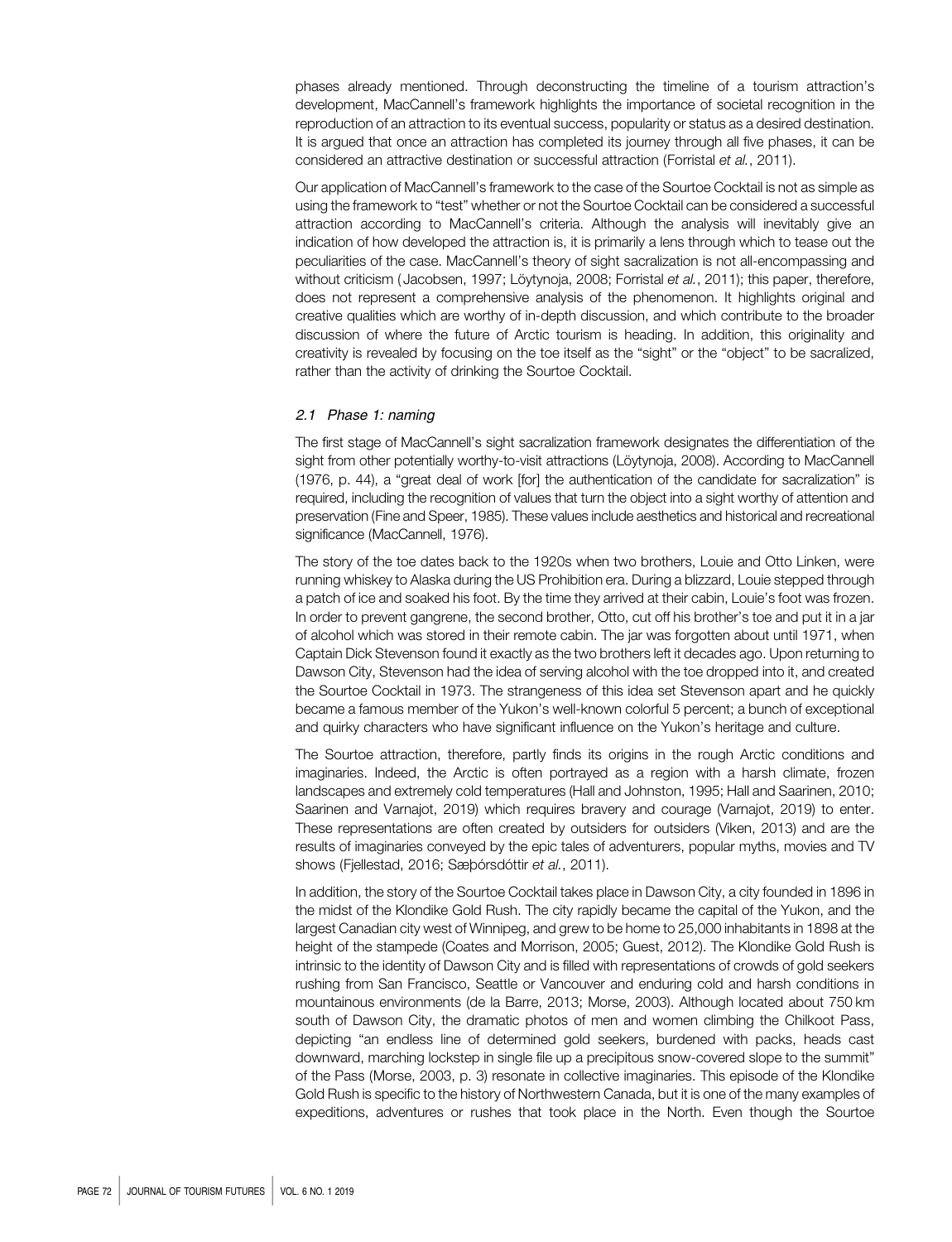phases already mentioned. Through deconstructing the timeline of a tourism attraction's development, MacCannell's framework highlights the importance of societal recognition in the reproduction of an attraction to its eventual success, popularity or status as a desired destination. It is argued that once an attraction has completed its journey through all five phases, it can be considered an attractive destination or successful attraction (Forristal et al., 2011).

Our application of MacCannell's framework to the case of the Sourtoe Cocktail is not as simple as using the framework to "test" whether or not the Sourtoe Cocktail can be considered a successful attraction according to MacCannell's criteria. Although the analysis will inevitably give an indication of how developed the attraction is, it is primarily a lens through which to tease out the peculiarities of the case. MacCannell's theory of sight sacralization is not all-encompassing and without criticism (Jacobsen, 1997; Löytynoja, 2008; Forristal et al., 2011); this paper, therefore, does not represent a comprehensive analysis of the phenomenon. It highlights original and creative qualities which are worthy of in-depth discussion, and which contribute to the broader discussion of where the future of Arctic tourism is heading. In addition, this originality and creativity is revealed by focusing on the toe itself as the "sight" or the "object" to be sacralized, rather than the activity of drinking the Sourtoe Cocktail.

#### 2.1 Phase 1: naming

The first stage of MacCannell's sight sacralization framework designates the differentiation of the sight from other potentially worthy-to-visit attractions (Löytynoja, 2008). According to MacCannell (1976, p. 44), a "great deal of work [for] the authentication of the candidate for sacralization" is required, including the recognition of values that turn the object into a sight worthy of attention and preservation (Fine and Speer, 1985). These values include aesthetics and historical and recreational significance (MacCannell, 1976).

The story of the toe dates back to the 1920s when two brothers, Louie and Otto Linken, were running whiskey to Alaska during the US Prohibition era. During a blizzard, Louie stepped through a patch of ice and soaked his foot. By the time they arrived at their cabin, Louie's foot was frozen. In order to prevent gangrene, the second brother, Otto, cut off his brother's toe and put it in a jar of alcohol which was stored in their remote cabin. The jar was forgotten about until 1971, when Captain Dick Stevenson found it exactly as the two brothers left it decades ago. Upon returning to Dawson City, Stevenson had the idea of serving alcohol with the toe dropped into it, and created the Sourtoe Cocktail in 1973. The strangeness of this idea set Stevenson apart and he quickly became a famous member of the Yukon's well-known colorful 5 percent; a bunch of exceptional and quirky characters who have significant influence on the Yukon's heritage and culture.

The Sourtoe attraction, therefore, partly finds its origins in the rough Arctic conditions and imaginaries. Indeed, the Arctic is often portrayed as a region with a harsh climate, frozen landscapes and extremely cold temperatures (Hall and Johnston, 1995; Hall and Saarinen, 2010; Saarinen and Varnajot, 2019) which requires bravery and courage (Varnajot, 2019) to enter. These representations are often created by outsiders for outsiders (Viken, 2013) and are the results of imaginaries conveyed by the epic tales of adventurers, popular myths, movies and TV shows (Fjellestad, 2016; Sæþórsdóttir et al., 2011).

In addition, the story of the Sourtoe Cocktail takes place in Dawson City, a city founded in 1896 in the midst of the Klondike Gold Rush. The city rapidly became the capital of the Yukon, and the largest Canadian city west of Winnipeg, and grew to be home to 25,000 inhabitants in 1898 at the height of the stampede (Coates and Morrison, 2005; Guest, 2012). The Klondike Gold Rush is intrinsic to the identity of Dawson City and is filled with representations of crowds of gold seekers rushing from San Francisco, Seattle or Vancouver and enduring cold and harsh conditions in mountainous environments (de la Barre, 2013; Morse, 2003). Although located about 750 km south of Dawson City, the dramatic photos of men and women climbing the Chilkoot Pass, depicting "an endless line of determined gold seekers, burdened with packs, heads cast downward, marching lockstep in single file up a precipitous snow-covered slope to the summit" of the Pass (Morse, 2003, p. 3) resonate in collective imaginaries. This episode of the Klondike Gold Rush is specific to the history of Northwestern Canada, but it is one of the many examples of expeditions, adventures or rushes that took place in the North. Even though the Sourtoe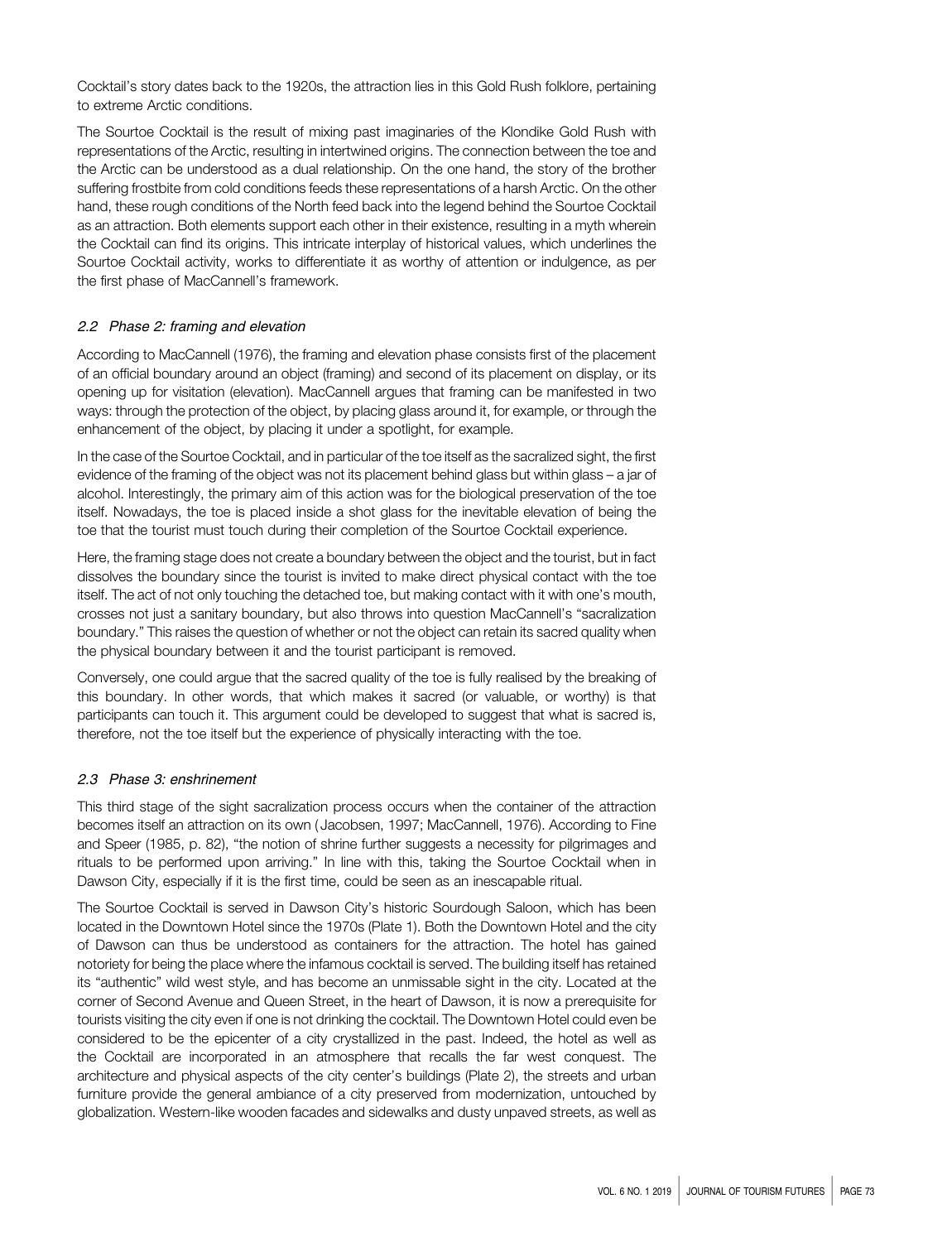Cocktail's story dates back to the 1920s, the attraction lies in this Gold Rush folklore, pertaining to extreme Arctic conditions.

The Sourtoe Cocktail is the result of mixing past imaginaries of the Klondike Gold Rush with representations of the Arctic, resulting in intertwined origins. The connection between the toe and the Arctic can be understood as a dual relationship. On the one hand, the story of the brother suffering frostbite from cold conditions feeds these representations of a harsh Arctic. On the other hand, these rough conditions of the North feed back into the legend behind the Sourtoe Cocktail as an attraction. Both elements support each other in their existence, resulting in a myth wherein the Cocktail can find its origins. This intricate interplay of historical values, which underlines the Sourtoe Cocktail activity, works to differentiate it as worthy of attention or indulgence, as per the first phase of MacCannell's framework.

## 2.2 Phase 2: framing and elevation

According to MacCannell (1976), the framing and elevation phase consists first of the placement of an official boundary around an object (framing) and second of its placement on display, or its opening up for visitation (elevation). MacCannell argues that framing can be manifested in two ways: through the protection of the object, by placing glass around it, for example, or through the enhancement of the object, by placing it under a spotlight, for example.

In the case of the Sourtoe Cocktail, and in particular of the toe itself as the sacralized sight, the first evidence of the framing of the object was not its placement behind glass but within glass – a jar of alcohol. Interestingly, the primary aim of this action was for the biological preservation of the toe itself. Nowadays, the toe is placed inside a shot glass for the inevitable elevation of being the toe that the tourist must touch during their completion of the Sourtoe Cocktail experience.

Here, the framing stage does not create a boundary between the object and the tourist, but in fact dissolves the boundary since the tourist is invited to make direct physical contact with the toe itself. The act of not only touching the detached toe, but making contact with it with one's mouth, crosses not just a sanitary boundary, but also throws into question MacCannell's "sacralization boundary." This raises the question of whether or not the object can retain its sacred quality when the physical boundary between it and the tourist participant is removed.

Conversely, one could argue that the sacred quality of the toe is fully realised by the breaking of this boundary. In other words, that which makes it sacred (or valuable, or worthy) is that participants can touch it. This argument could be developed to suggest that what is sacred is, therefore, not the toe itself but the experience of physically interacting with the toe.

# 2.3 Phase 3: enshrinement

This third stage of the sight sacralization process occurs when the container of the attraction becomes itself an attraction on its own ( Jacobsen, 1997; MacCannell, 1976). According to Fine and Speer (1985, p. 82), "the notion of shrine further suggests a necessity for pilgrimages and rituals to be performed upon arriving." In line with this, taking the Sourtoe Cocktail when in Dawson City, especially if it is the first time, could be seen as an inescapable ritual.

The Sourtoe Cocktail is served in Dawson City's historic Sourdough Saloon, which has been located in the Downtown Hotel since the 1970s (Plate 1). Both the Downtown Hotel and the city of Dawson can thus be understood as containers for the attraction. The hotel has gained notoriety for being the place where the infamous cocktail is served. The building itself has retained its "authentic" wild west style, and has become an unmissable sight in the city. Located at the corner of Second Avenue and Queen Street, in the heart of Dawson, it is now a prerequisite for tourists visiting the city even if one is not drinking the cocktail. The Downtown Hotel could even be considered to be the epicenter of a city crystallized in the past. Indeed, the hotel as well as the Cocktail are incorporated in an atmosphere that recalls the far west conquest. The architecture and physical aspects of the city center's buildings (Plate 2), the streets and urban furniture provide the general ambiance of a city preserved from modernization, untouched by globalization. Western-like wooden facades and sidewalks and dusty unpaved streets, as well as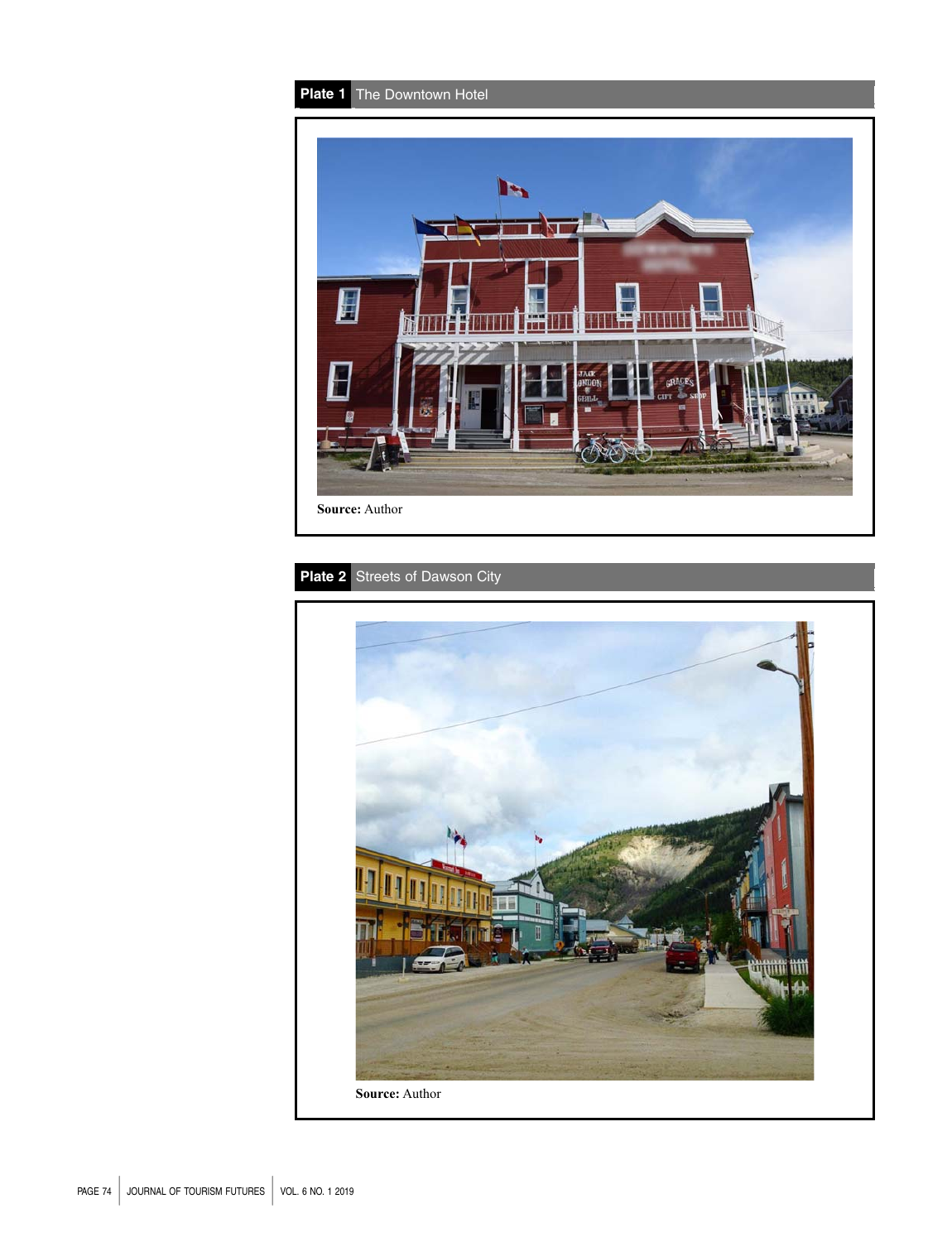

# Plate 2 Streets of Dawson City

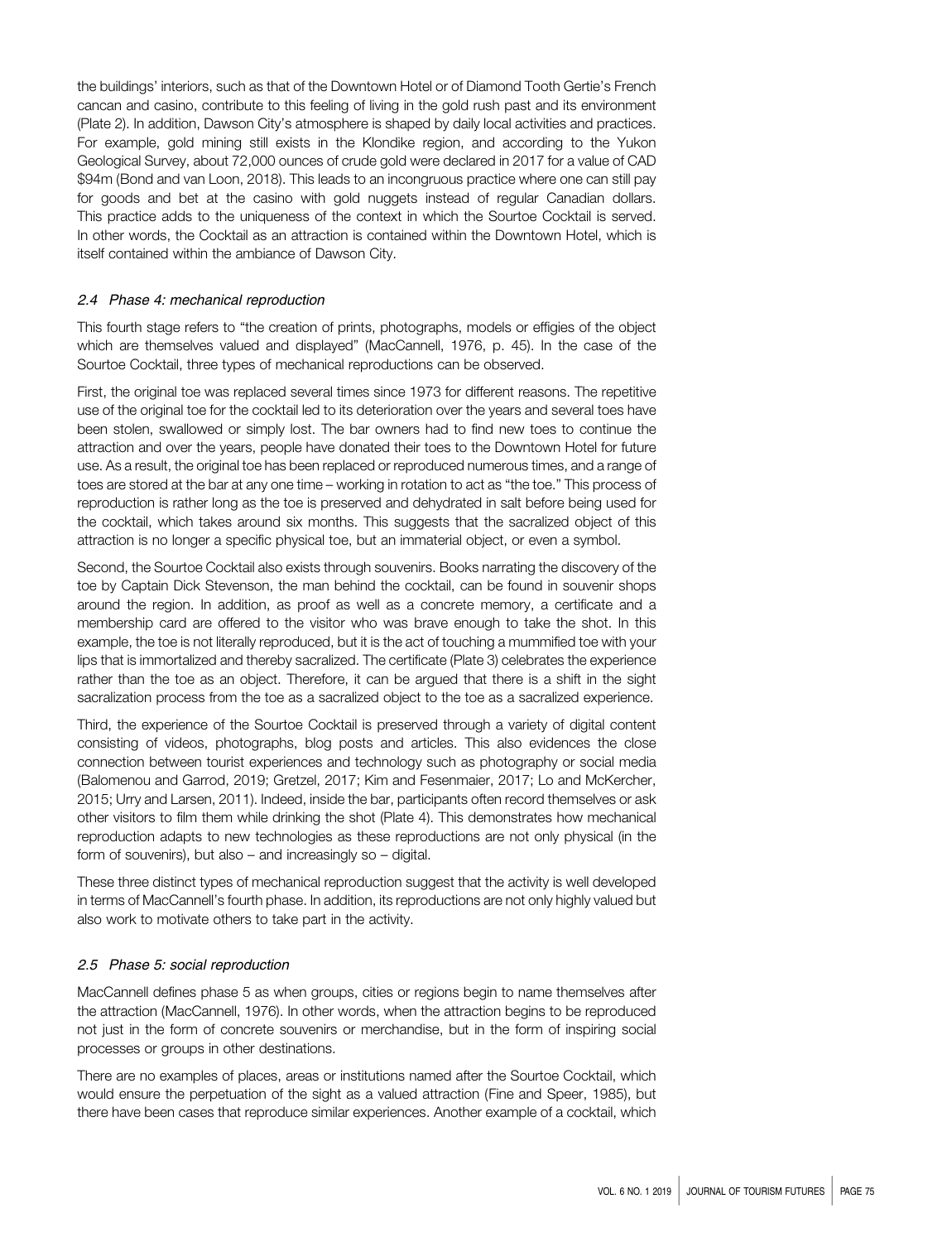the buildings' interiors, such as that of the Downtown Hotel or of Diamond Tooth Gertie's French cancan and casino, contribute to this feeling of living in the gold rush past and its environment (Plate 2). In addition, Dawson City's atmosphere is shaped by daily local activities and practices. For example, gold mining still exists in the Klondike region, and according to the Yukon Geological Survey, about 72,000 ounces of crude gold were declared in 2017 for a value of CAD \$94m (Bond and van Loon, 2018). This leads to an incongruous practice where one can still pay for goods and bet at the casino with gold nuggets instead of regular Canadian dollars. This practice adds to the uniqueness of the context in which the Sourtoe Cocktail is served. In other words, the Cocktail as an attraction is contained within the Downtown Hotel, which is itself contained within the ambiance of Dawson City.

#### 2.4 Phase 4: mechanical reproduction

This fourth stage refers to "the creation of prints, photographs, models or effigies of the object which are themselves valued and displayed" (MacCannell, 1976, p. 45). In the case of the Sourtoe Cocktail, three types of mechanical reproductions can be observed.

First, the original toe was replaced several times since 1973 for different reasons. The repetitive use of the original toe for the cocktail led to its deterioration over the years and several toes have been stolen, swallowed or simply lost. The bar owners had to find new toes to continue the attraction and over the years, people have donated their toes to the Downtown Hotel for future use. As a result, the original toe has been replaced or reproduced numerous times, and a range of toes are stored at the bar at any one time – working in rotation to act as "the toe." This process of reproduction is rather long as the toe is preserved and dehydrated in salt before being used for the cocktail, which takes around six months. This suggests that the sacralized object of this attraction is no longer a specific physical toe, but an immaterial object, or even a symbol.

Second, the Sourtoe Cocktail also exists through souvenirs. Books narrating the discovery of the toe by Captain Dick Stevenson, the man behind the cocktail, can be found in souvenir shops around the region. In addition, as proof as well as a concrete memory, a certificate and a membership card are offered to the visitor who was brave enough to take the shot. In this example, the toe is not literally reproduced, but it is the act of touching a mummified toe with your lips that is immortalized and thereby sacralized. The certificate (Plate 3) celebrates the experience rather than the toe as an object. Therefore, it can be argued that there is a shift in the sight sacralization process from the toe as a sacralized object to the toe as a sacralized experience.

Third, the experience of the Sourtoe Cocktail is preserved through a variety of digital content consisting of videos, photographs, blog posts and articles. This also evidences the close connection between tourist experiences and technology such as photography or social media (Balomenou and Garrod, 2019; Gretzel, 2017; Kim and Fesenmaier, 2017; Lo and McKercher, 2015; Urry and Larsen, 2011). Indeed, inside the bar, participants often record themselves or ask other visitors to film them while drinking the shot (Plate 4). This demonstrates how mechanical reproduction adapts to new technologies as these reproductions are not only physical (in the form of souvenirs), but also – and increasingly so – digital.

These three distinct types of mechanical reproduction suggest that the activity is well developed in terms of MacCannell's fourth phase. In addition, its reproductions are not only highly valued but also work to motivate others to take part in the activity.

#### 2.5 Phase 5: social reproduction

MacCannell defines phase 5 as when groups, cities or regions begin to name themselves after the attraction (MacCannell, 1976). In other words, when the attraction begins to be reproduced not just in the form of concrete souvenirs or merchandise, but in the form of inspiring social processes or groups in other destinations.

There are no examples of places, areas or institutions named after the Sourtoe Cocktail, which would ensure the perpetuation of the sight as a valued attraction (Fine and Speer, 1985), but there have been cases that reproduce similar experiences. Another example of a cocktail, which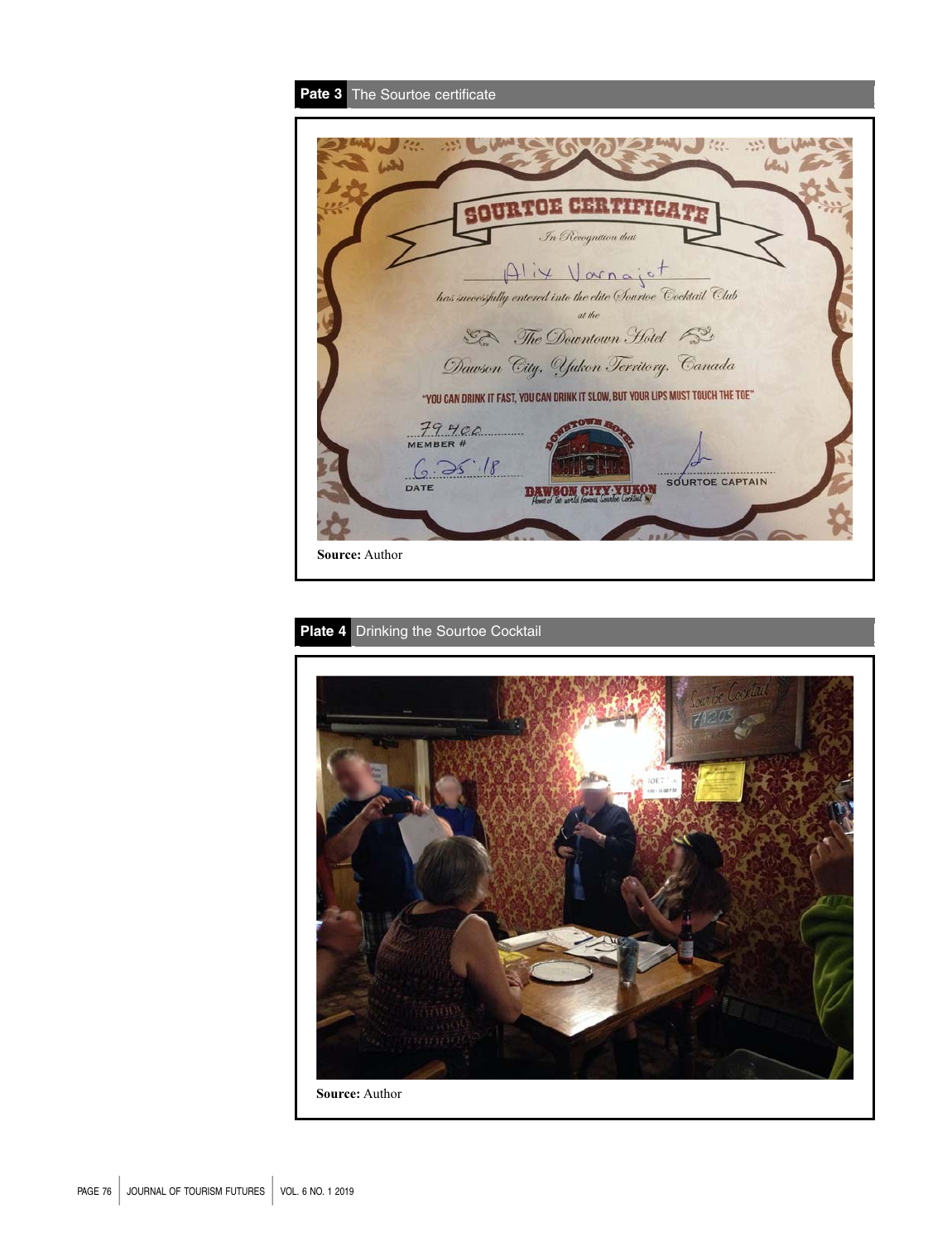| Pate 3 The Sourtoe certificate                                                   |
|----------------------------------------------------------------------------------|
|                                                                                  |
|                                                                                  |
|                                                                                  |
|                                                                                  |
|                                                                                  |
| In Recognition that                                                              |
| Alix Varnajet                                                                    |
| has successfully entered into the elite Sourtoe Cocktail Club                    |
| at the                                                                           |
| The Downtown Hotel 52                                                            |
| Dawson City, Yukon Territory, Canada                                             |
| "YOU CAN DRINK IT FAST, YOU CAN DRINK IT SLOW, BUT YOUR LIPS MUST TOUCH THE TOE" |
|                                                                                  |
| 79400<br>MEMBER #                                                                |
| 6.25.18                                                                          |
| <b>SOURTOE CAPTAIN</b><br>DATE                                                   |
|                                                                                  |
|                                                                                  |
| <b>Source: Author</b>                                                            |
|                                                                                  |

# Plate 4 Drinking the Sourtoe Cocktail

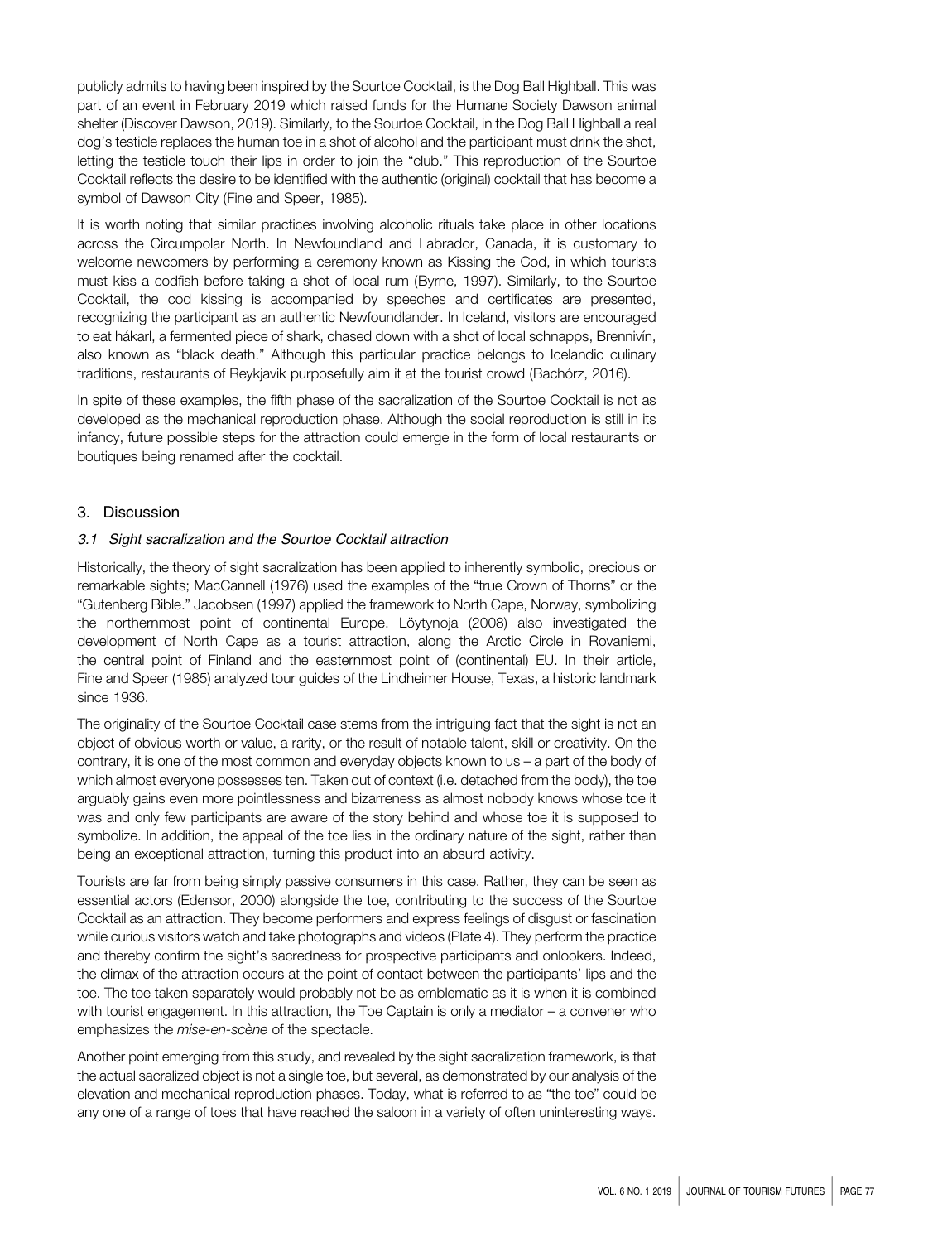publicly admits to having been inspired by the Sourtoe Cocktail, is the Dog Ball Highball. This was part of an event in February 2019 which raised funds for the Humane Society Dawson animal shelter (Discover Dawson, 2019). Similarly, to the Sourtoe Cocktail, in the Dog Ball Highball a real dog's testicle replaces the human toe in a shot of alcohol and the participant must drink the shot, letting the testicle touch their lips in order to join the "club." This reproduction of the Sourtoe Cocktail reflects the desire to be identified with the authentic (original) cocktail that has become a symbol of Dawson City (Fine and Speer, 1985).

It is worth noting that similar practices involving alcoholic rituals take place in other locations across the Circumpolar North. In Newfoundland and Labrador, Canada, it is customary to welcome newcomers by performing a ceremony known as Kissing the Cod, in which tourists must kiss a codfish before taking a shot of local rum (Byrne, 1997). Similarly, to the Sourtoe Cocktail, the cod kissing is accompanied by speeches and certificates are presented, recognizing the participant as an authentic Newfoundlander. In Iceland, visitors are encouraged to eat hákarl, a fermented piece of shark, chased down with a shot of local schnapps, Brennivín, also known as "black death." Although this particular practice belongs to Icelandic culinary traditions, restaurants of Reykjavik purposefully aim it at the tourist crowd (Bachórz, 2016).

In spite of these examples, the fifth phase of the sacralization of the Sourtoe Cocktail is not as developed as the mechanical reproduction phase. Although the social reproduction is still in its infancy, future possible steps for the attraction could emerge in the form of local restaurants or boutiques being renamed after the cocktail.

## 3. Discussion

#### 3.1 Sight sacralization and the Sourtoe Cocktail attraction

Historically, the theory of sight sacralization has been applied to inherently symbolic, precious or remarkable sights; MacCannell (1976) used the examples of the "true Crown of Thorns" or the "Gutenberg Bible." Jacobsen (1997) applied the framework to North Cape, Norway, symbolizing the northernmost point of continental Europe. Löytynoja (2008) also investigated the development of North Cape as a tourist attraction, along the Arctic Circle in Rovaniemi, the central point of Finland and the easternmost point of (continental) EU. In their article, Fine and Speer (1985) analyzed tour guides of the Lindheimer House, Texas, a historic landmark since 1936.

The originality of the Sourtoe Cocktail case stems from the intriguing fact that the sight is not an object of obvious worth or value, a rarity, or the result of notable talent, skill or creativity. On the contrary, it is one of the most common and everyday objects known to us – a part of the body of which almost everyone possesses ten. Taken out of context (i.e. detached from the body), the toe arguably gains even more pointlessness and bizarreness as almost nobody knows whose toe it was and only few participants are aware of the story behind and whose toe it is supposed to symbolize. In addition, the appeal of the toe lies in the ordinary nature of the sight, rather than being an exceptional attraction, turning this product into an absurd activity.

Tourists are far from being simply passive consumers in this case. Rather, they can be seen as essential actors (Edensor, 2000) alongside the toe, contributing to the success of the Sourtoe Cocktail as an attraction. They become performers and express feelings of disgust or fascination while curious visitors watch and take photographs and videos (Plate 4). They perform the practice and thereby confirm the sight's sacredness for prospective participants and onlookers. Indeed, the climax of the attraction occurs at the point of contact between the participants' lips and the toe. The toe taken separately would probably not be as emblematic as it is when it is combined with tourist engagement. In this attraction, the Toe Captain is only a mediator – a convener who emphasizes the mise-en-scène of the spectacle.

Another point emerging from this study, and revealed by the sight sacralization framework, is that the actual sacralized object is not a single toe, but several, as demonstrated by our analysis of the elevation and mechanical reproduction phases. Today, what is referred to as "the toe" could be any one of a range of toes that have reached the saloon in a variety of often uninteresting ways.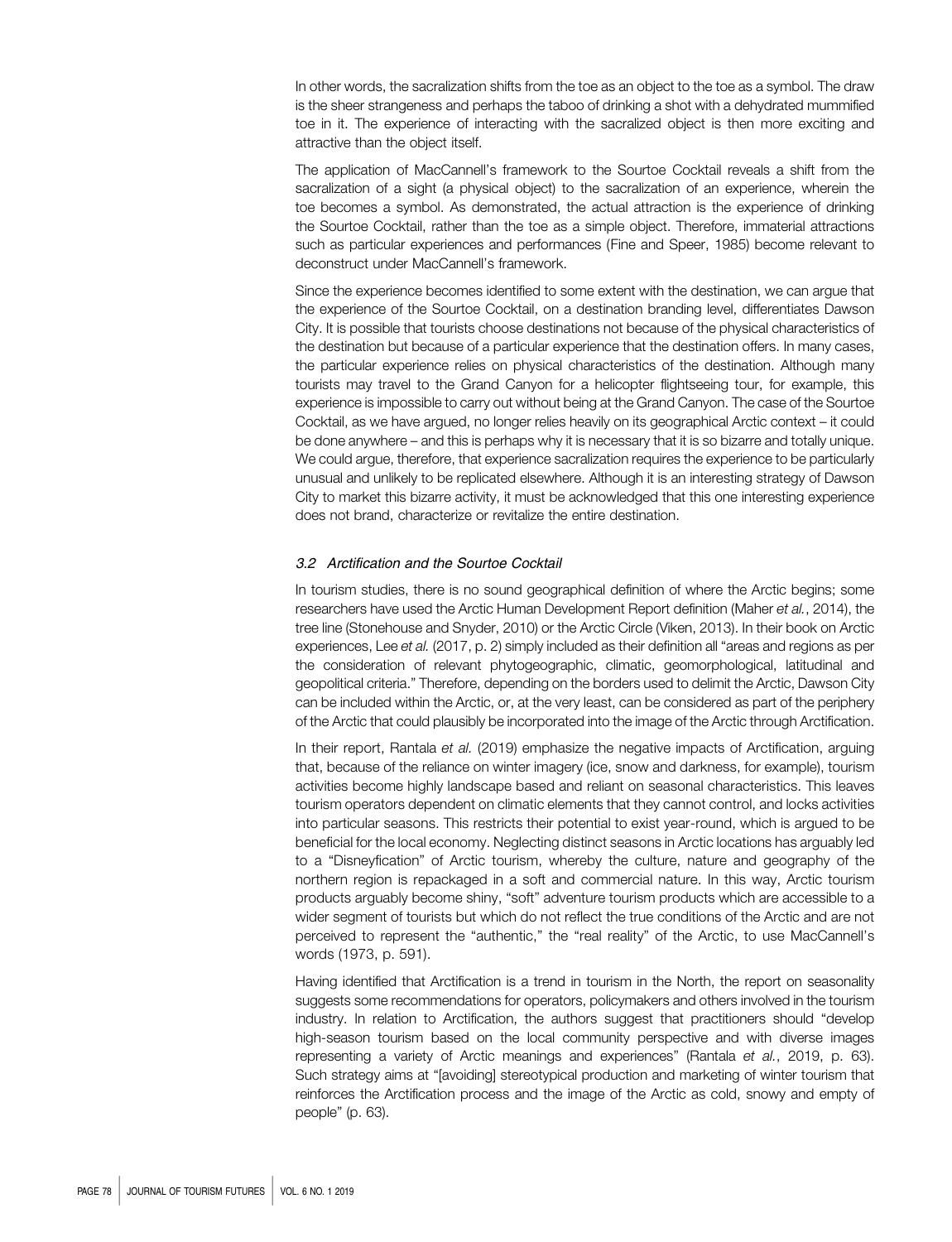In other words, the sacralization shifts from the toe as an object to the toe as a symbol. The draw is the sheer strangeness and perhaps the taboo of drinking a shot with a dehydrated mummified toe in it. The experience of interacting with the sacralized object is then more exciting and attractive than the object itself.

The application of MacCannell's framework to the Sourtoe Cocktail reveals a shift from the sacralization of a sight (a physical object) to the sacralization of an experience, wherein the toe becomes a symbol. As demonstrated, the actual attraction is the experience of drinking the Sourtoe Cocktail, rather than the toe as a simple object. Therefore, immaterial attractions such as particular experiences and performances (Fine and Speer, 1985) become relevant to deconstruct under MacCannell's framework.

Since the experience becomes identified to some extent with the destination, we can argue that the experience of the Sourtoe Cocktail, on a destination branding level, differentiates Dawson City. It is possible that tourists choose destinations not because of the physical characteristics of the destination but because of a particular experience that the destination offers. In many cases, the particular experience relies on physical characteristics of the destination. Although many tourists may travel to the Grand Canyon for a helicopter flightseeing tour, for example, this experience is impossible to carry out without being at the Grand Canyon. The case of the Sourtoe Cocktail, as we have argued, no longer relies heavily on its geographical Arctic context – it could be done anywhere – and this is perhaps why it is necessary that it is so bizarre and totally unique. We could argue, therefore, that experience sacralization requires the experience to be particularly unusual and unlikely to be replicated elsewhere. Although it is an interesting strategy of Dawson City to market this bizarre activity, it must be acknowledged that this one interesting experience does not brand, characterize or revitalize the entire destination.

#### 3.2 Arctification and the Sourtoe Cocktail

In tourism studies, there is no sound geographical definition of where the Arctic begins; some researchers have used the Arctic Human Development Report definition (Maher et al., 2014), the tree line (Stonehouse and Snyder, 2010) or the Arctic Circle (Viken, 2013). In their book on Arctic experiences, Lee et al. (2017, p. 2) simply included as their definition all "areas and regions as per the consideration of relevant phytogeographic, climatic, geomorphological, latitudinal and geopolitical criteria." Therefore, depending on the borders used to delimit the Arctic, Dawson City can be included within the Arctic, or, at the very least, can be considered as part of the periphery of the Arctic that could plausibly be incorporated into the image of the Arctic through Arctification.

In their report, Rantala et al. (2019) emphasize the negative impacts of Arctification, arguing that, because of the reliance on winter imagery (ice, snow and darkness, for example), tourism activities become highly landscape based and reliant on seasonal characteristics. This leaves tourism operators dependent on climatic elements that they cannot control, and locks activities into particular seasons. This restricts their potential to exist year-round, which is argued to be beneficial for the local economy. Neglecting distinct seasons in Arctic locations has arguably led to a "Disneyfication" of Arctic tourism, whereby the culture, nature and geography of the northern region is repackaged in a soft and commercial nature. In this way, Arctic tourism products arguably become shiny, "soft" adventure tourism products which are accessible to a wider segment of tourists but which do not reflect the true conditions of the Arctic and are not perceived to represent the "authentic," the "real reality" of the Arctic, to use MacCannell's words (1973, p. 591).

Having identified that Arctification is a trend in tourism in the North, the report on seasonality suggests some recommendations for operators, policymakers and others involved in the tourism industry. In relation to Arctification, the authors suggest that practitioners should "develop high-season tourism based on the local community perspective and with diverse images representing a variety of Arctic meanings and experiences" (Rantala et al., 2019, p. 63). Such strategy aims at "[avoiding] stereotypical production and marketing of winter tourism that reinforces the Arctification process and the image of the Arctic as cold, snowy and empty of people" (p. 63).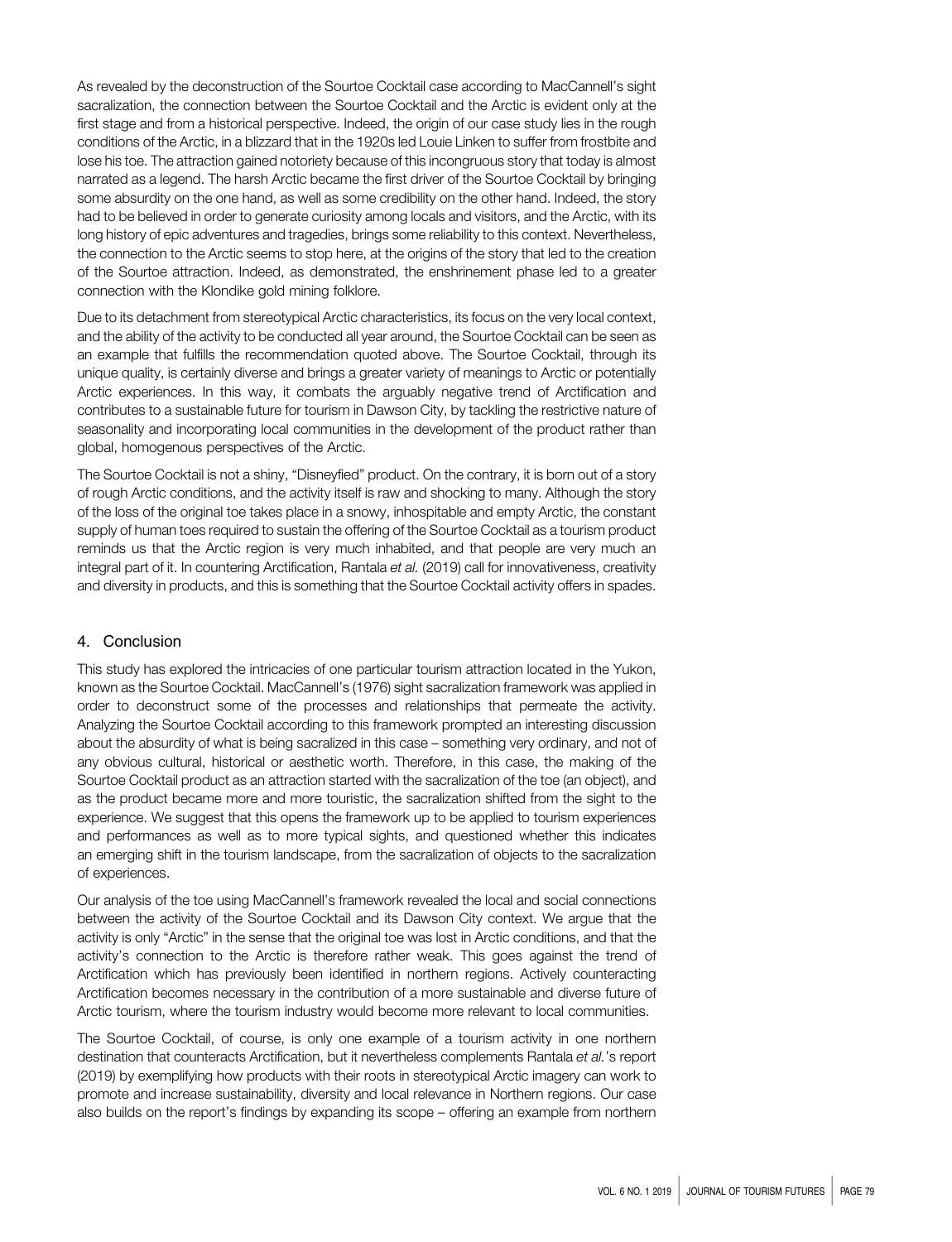As revealed by the deconstruction of the Sourtoe Cocktail case according to MacCannell's sight sacralization, the connection between the Sourtoe Cocktail and the Arctic is evident only at the first stage and from a historical perspective. Indeed, the origin of our case study lies in the rough conditions of the Arctic, in a blizzard that in the 1920s led Louie Linken to suffer from frostbite and lose his toe. The attraction gained notoriety because of this incongruous story that today is almost narrated as a legend. The harsh Arctic became the first driver of the Sourtoe Cocktail by bringing some absurdity on the one hand, as well as some credibility on the other hand. Indeed, the story had to be believed in order to generate curiosity among locals and visitors, and the Arctic, with its long history of epic adventures and tragedies, brings some reliability to this context. Nevertheless, the connection to the Arctic seems to stop here, at the origins of the story that led to the creation of the Sourtoe attraction. Indeed, as demonstrated, the enshrinement phase led to a greater connection with the Klondike gold mining folklore.

Due to its detachment from stereotypical Arctic characteristics, its focus on the very local context, and the ability of the activity to be conducted all year around, the Sourtoe Cocktail can be seen as an example that fulfills the recommendation quoted above. The Sourtoe Cocktail, through its unique quality, is certainly diverse and brings a greater variety of meanings to Arctic or potentially Arctic experiences. In this way, it combats the arguably negative trend of Arctification and contributes to a sustainable future for tourism in Dawson City, by tackling the restrictive nature of seasonality and incorporating local communities in the development of the product rather than global, homogenous perspectives of the Arctic.

The Sourtoe Cocktail is not a shiny, "Disneyfied" product. On the contrary, it is born out of a story of rough Arctic conditions, and the activity itself is raw and shocking to many. Although the story of the loss of the original toe takes place in a snowy, inhospitable and empty Arctic, the constant supply of human toes required to sustain the offering of the Sourtoe Cocktail as a tourism product reminds us that the Arctic region is very much inhabited, and that people are very much an integral part of it. In countering Arctification, Rantala et al. (2019) call for innovativeness, creativity and diversity in products, and this is something that the Sourtoe Cocktail activity offers in spades.

#### 4. Conclusion

This study has explored the intricacies of one particular tourism attraction located in the Yukon, known as the Sourtoe Cocktail. MacCannell's (1976) sight sacralization framework was applied in order to deconstruct some of the processes and relationships that permeate the activity. Analyzing the Sourtoe Cocktail according to this framework prompted an interesting discussion about the absurdity of what is being sacralized in this case – something very ordinary, and not of any obvious cultural, historical or aesthetic worth. Therefore, in this case, the making of the Sourtoe Cocktail product as an attraction started with the sacralization of the toe (an object), and as the product became more and more touristic, the sacralization shifted from the sight to the experience. We suggest that this opens the framework up to be applied to tourism experiences and performances as well as to more typical sights, and questioned whether this indicates an emerging shift in the tourism landscape, from the sacralization of objects to the sacralization of experiences.

Our analysis of the toe using MacCannell's framework revealed the local and social connections between the activity of the Sourtoe Cocktail and its Dawson City context. We argue that the activity is only "Arctic" in the sense that the original toe was lost in Arctic conditions, and that the activity's connection to the Arctic is therefore rather weak. This goes against the trend of Arctification which has previously been identified in northern regions. Actively counteracting Arctification becomes necessary in the contribution of a more sustainable and diverse future of Arctic tourism, where the tourism industry would become more relevant to local communities.

The Sourtoe Cocktail, of course, is only one example of a tourism activity in one northern destination that counteracts Arctification, but it nevertheless complements Rantala et al.'s report (2019) by exemplifying how products with their roots in stereotypical Arctic imagery can work to promote and increase sustainability, diversity and local relevance in Northern regions. Our case also builds on the report's findings by expanding its scope – offering an example from northern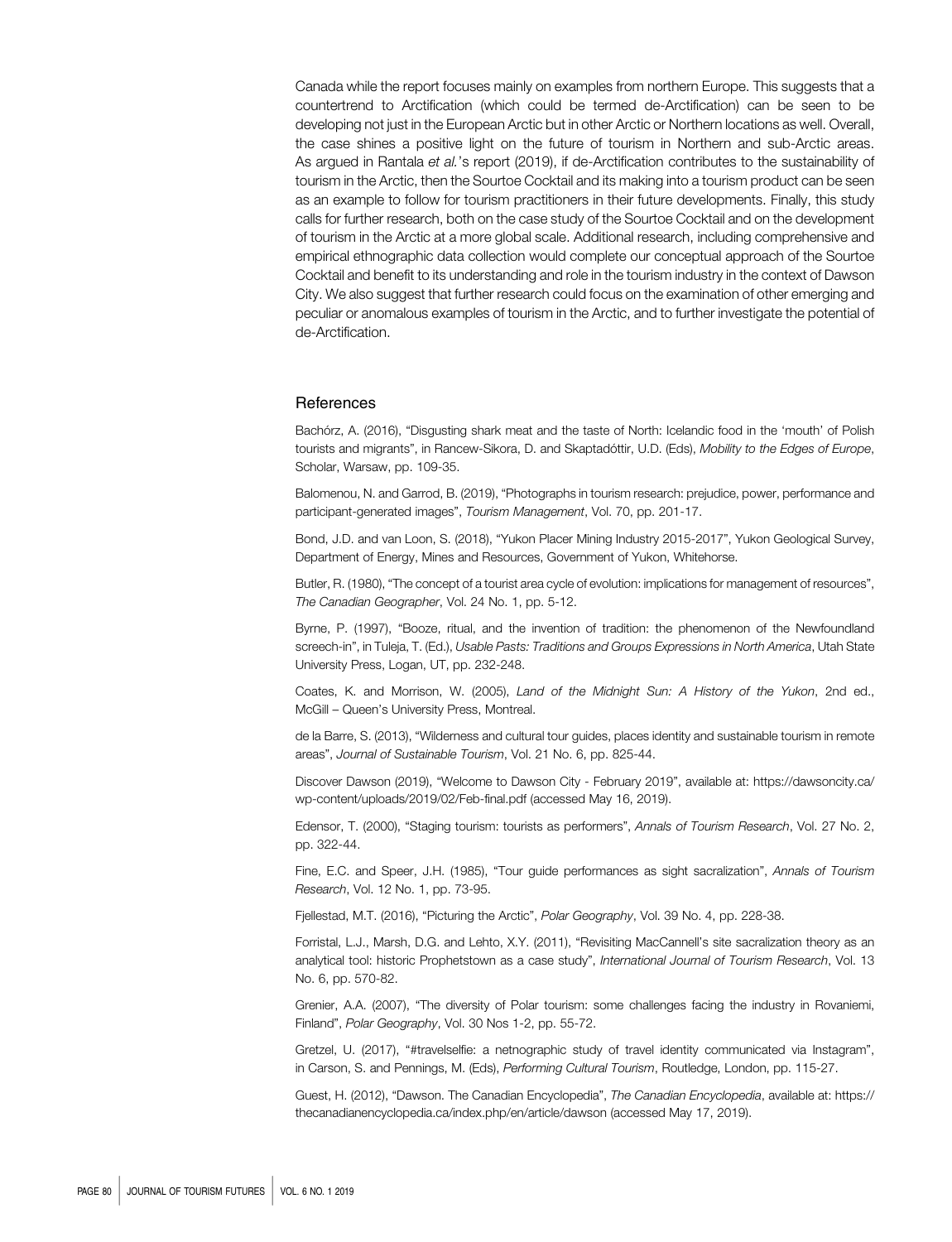Canada while the report focuses mainly on examples from northern Europe. This suggests that a countertrend to Arctification (which could be termed de-Arctification) can be seen to be developing not just in the European Arctic but in other Arctic or Northern locations as well. Overall, the case shines a positive light on the future of tourism in Northern and sub-Arctic areas. As argued in Rantala et al.'s report (2019), if de-Arctification contributes to the sustainability of tourism in the Arctic, then the Sourtoe Cocktail and its making into a tourism product can be seen as an example to follow for tourism practitioners in their future developments. Finally, this study calls for further research, both on the case study of the Sourtoe Cocktail and on the development of tourism in the Arctic at a more global scale. Additional research, including comprehensive and empirical ethnographic data collection would complete our conceptual approach of the Sourtoe Cocktail and benefit to its understanding and role in the tourism industry in the context of Dawson City. We also suggest that further research could focus on the examination of other emerging and peculiar or anomalous examples of tourism in the Arctic, and to further investigate the potential of de-Arctification.

#### **References**

Bachórz, A. (2016), "Disgusting shark meat and the taste of North: Icelandic food in the 'mouth' of Polish tourists and migrants", in Rancew-Sikora, D. and Skaptadóttir, U.D. (Eds), Mobility to the Edges of Europe, Scholar, Warsaw, pp. 109-35.

Balomenou, N. and Garrod, B. (2019), "Photographs in tourism research: prejudice, power, performance and participant-generated images", Tourism Management, Vol. 70, pp. 201-17.

Bond, J.D. and van Loon, S. (2018), "Yukon Placer Mining Industry 2015-2017", Yukon Geological Survey, Department of Energy, Mines and Resources, Government of Yukon, Whitehorse.

Butler, R. (1980), "The concept of a tourist area cycle of evolution: implications for management of resources", The Canadian Geographer, Vol. 24 No. 1, pp. 5-12.

Byrne, P. (1997), "Booze, ritual, and the invention of tradition: the phenomenon of the Newfoundland screech-in", in Tuleja, T. (Ed.), Usable Pasts: Traditions and Groups Expressions in North America, Utah State University Press, Logan, UT, pp. 232-248.

Coates, K. and Morrison, W. (2005), Land of the Midnight Sun: A History of the Yukon, 2nd ed., McGill – Queen's University Press, Montreal.

de la Barre, S. (2013), "Wilderness and cultural tour guides, places identity and sustainable tourism in remote areas", Journal of Sustainable Tourism, Vol. 21 No. 6, pp. 825-44.

Discover Dawson (2019), "Welcome to Dawson City - February 2019", available at: [https://dawsoncity.ca/](http://creativecommons.org/licences/by/4.0/legalcode) [wp-content/uploads/2019/02/Feb-final.pdf](http://creativecommons.org/licences/by/4.0/legalcode) (accessed May 16, 2019).

Edensor, T. (2000), "Staging tourism: tourists as performers", Annals of Tourism Research, Vol. 27 No. 2, pp. 322-44.

Fine, E.C. and Speer, J.H. (1985), "Tour guide performances as sight sacralization", Annals of Tourism Research, Vol. 12 No. 1, pp. 73-95.

Fjellestad, M.T. (2016), "Picturing the Arctic", Polar Geography, Vol. 39 No. 4, pp. 228-38.

Forristal, L.J., Marsh, D.G. and Lehto, X.Y. (2011), "Revisiting MacCannell's site sacralization theory as an analytical tool: historic Prophetstown as a case study", International Journal of Tourism Research, Vol. 13 No. 6, pp. 570-82.

Grenier, A.A. (2007), "The diversity of Polar tourism: some challenges facing the industry in Rovaniemi, Finland", Polar Geography, Vol. 30 Nos 1-2, pp. 55-72.

Gretzel, U. (2017), "#travelselfie: a netnographic study of travel identity communicated via Instagram", in Carson, S. and Pennings, M. (Eds), Performing Cultural Tourism, Routledge, London, pp. 115-27.

Guest, H. (2012), "Dawson. The Canadian Encyclopedia", The Canadian Encyclopedia, available at: [https://](https://thecanadianencyclopedia.ca/index.php/en/article/dawson) [thecanadianencyclopedia.ca/index.php/en/article/dawson](https://thecanadianencyclopedia.ca/index.php/en/article/dawson) (accessed May 17, 2019).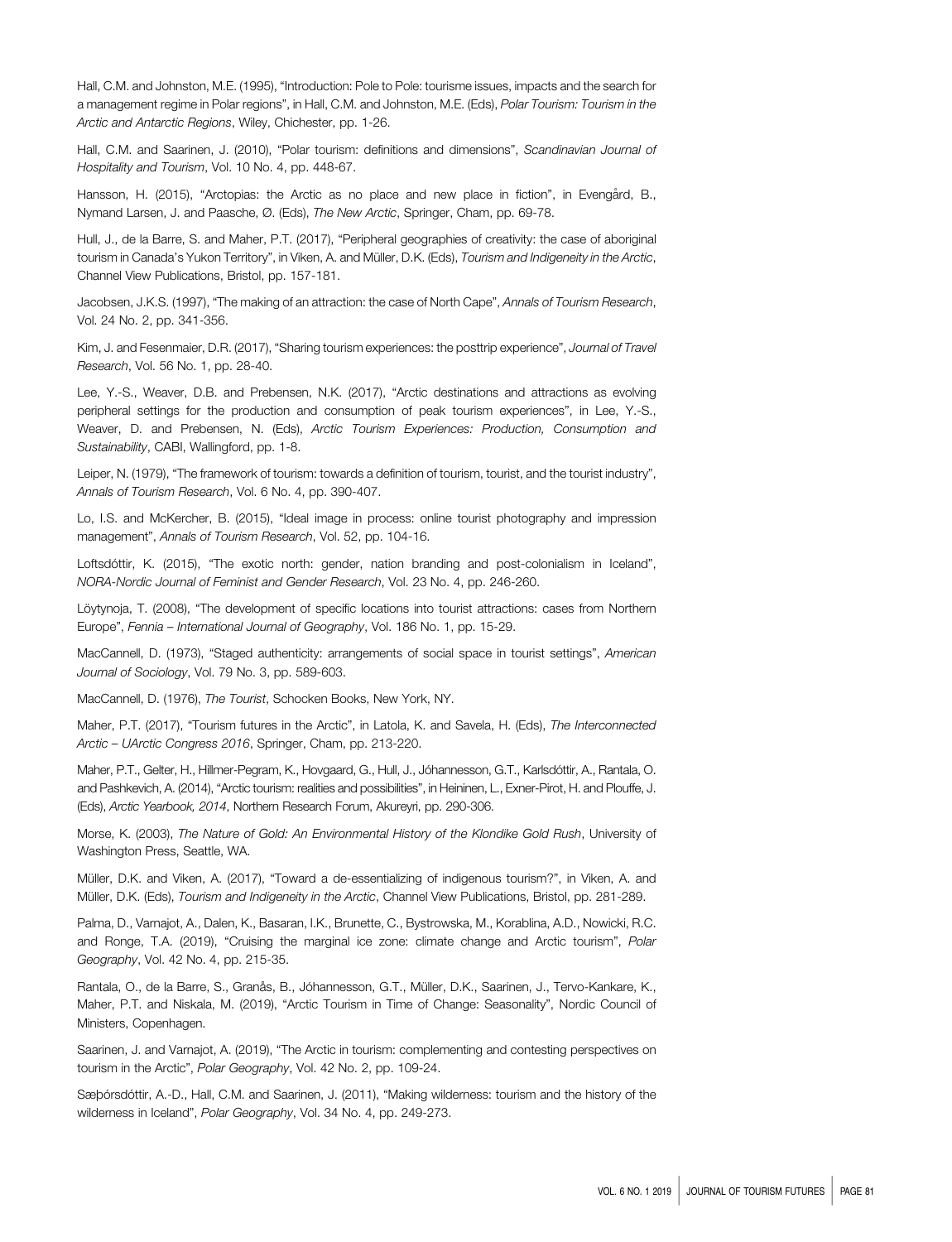Hall, C.M. and Johnston, M.E. (1995), "Introduction: Pole to Pole: tourisme issues, impacts and the search for a management regime in Polar regions", in Hall, C.M. and Johnston, M.E. (Eds), Polar Tourism: Tourism in the Arctic and Antarctic Regions, Wiley, Chichester, pp. 1-26.

Hall, C.M. and Saarinen, J. (2010), "Polar tourism: definitions and dimensions", Scandinavian Journal of Hospitality and Tourism, Vol. 10 No. 4, pp. 448-67.

Hansson, H. (2015), "Arctopias: the Arctic as no place and new place in fiction", in Evengård, B., Nymand Larsen, J. and Paasche, Ø. (Eds), The New Arctic, Springer, Cham, pp. 69-78.

Hull, J., de la Barre, S. and Maher, P.T. (2017), "Peripheral geographies of creativity: the case of aboriginal tourism in Canada's Yukon Territory", in Viken, A. and Müller, D.K. (Eds), Tourism and Indigeneity in the Arctic, Channel View Publications, Bristol, pp. 157-181.

Jacobsen, J.K.S. (1997), "The making of an attraction: the case of North Cape", Annals of Tourism Research, Vol. 24 No. 2, pp. 341-356.

Kim, J. and Fesenmaier, D.R. (2017), "Sharing tourism experiences: the posttrip experience", Journal of Travel Research, Vol. 56 No. 1, pp. 28-40.

Lee, Y.-S., Weaver, D.B. and Prebensen, N.K. (2017), "Arctic destinations and attractions as evolving peripheral settings for the production and consumption of peak tourism experiences", in Lee, Y.-S., Weaver, D. and Prebensen, N. (Eds), Arctic Tourism Experiences: Production, Consumption and Sustainability, CABI, Wallingford, pp. 1-8.

Leiper, N. (1979), "The framework of tourism: towards a definition of tourism, tourist, and the tourist industry", Annals of Tourism Research, Vol. 6 No. 4, pp. 390-407.

Lo, I.S. and McKercher, B. (2015), "Ideal image in process: online tourist photography and impression management", Annals of Tourism Research, Vol. 52, pp. 104-16.

Loftsdóttir, K. (2015), "The exotic north: gender, nation branding and post-colonialism in Iceland", NORA-Nordic Journal of Feminist and Gender Research, Vol. 23 No. 4, pp. 246-260.

Löytynoja, T. (2008), "The development of specific locations into tourist attractions: cases from Northern Europe", Fennia – International Journal of Geography, Vol. 186 No. 1, pp. 15-29.

MacCannell, D. (1973), "Staged authenticity: arrangements of social space in tourist settings", American Journal of Sociology, Vol. 79 No. 3, pp. 589-603.

MacCannell, D. (1976), The Tourist, Schocken Books, New York, NY.

Maher, P.T. (2017), "Tourism futures in the Arctic", in Latola, K. and Savela, H. (Eds), The Interconnected Arctic – UArctic Congress 2016, Springer, Cham, pp. 213-220.

Maher, P.T., Gelter, H., Hillmer-Pegram, K., Hovgaard, G., Hull, J., Jóhannesson, G.T., Karlsdóttir, A., Rantala, O. and Pashkevich, A. (2014), "Arctic tourism: realities and possibilities", in Heininen, L., Exner-Pirot, H. and Plouffe, J. (Eds), Arctic Yearbook, 2014, Northern Research Forum, Akureyri, pp. 290-306.

Morse, K. (2003), The Nature of Gold: An Environmental History of the Klondike Gold Rush, University of Washington Press, Seattle, WA.

Müller, D.K. and Viken, A. (2017), "Toward a de-essentializing of indigenous tourism?", in Viken, A. and Müller, D.K. (Eds), Tourism and Indigeneity in the Arctic, Channel View Publications, Bristol, pp. 281-289.

Palma, D., Varnajot, A., Dalen, K., Basaran, I.K., Brunette, C., Bystrowska, M., Korablina, A.D., Nowicki, R.C. and Ronge, T.A. (2019), "Cruising the marginal ice zone: climate change and Arctic tourism", Polar Geography, Vol. 42 No. 4, pp. 215-35.

Rantala, O., de la Barre, S., Granås, B., Jóhannesson, G.T., Müller, D.K., Saarinen, J., Tervo-Kankare, K., Maher, P.T. and Niskala, M. (2019), "Arctic Tourism in Time of Change: Seasonality", Nordic Council of Ministers, Copenhagen.

Saarinen, J. and Varnajot, A. (2019), "The Arctic in tourism: complementing and contesting perspectives on tourism in the Arctic", Polar Geography, Vol. 42 No. 2, pp. 109-24.

Sæþórsdóttir, A.-D., Hall, C.M. and Saarinen, J. (2011), "Making wilderness: tourism and the history of the wilderness in Iceland", Polar Geography, Vol. 34 No. 4, pp. 249-273.